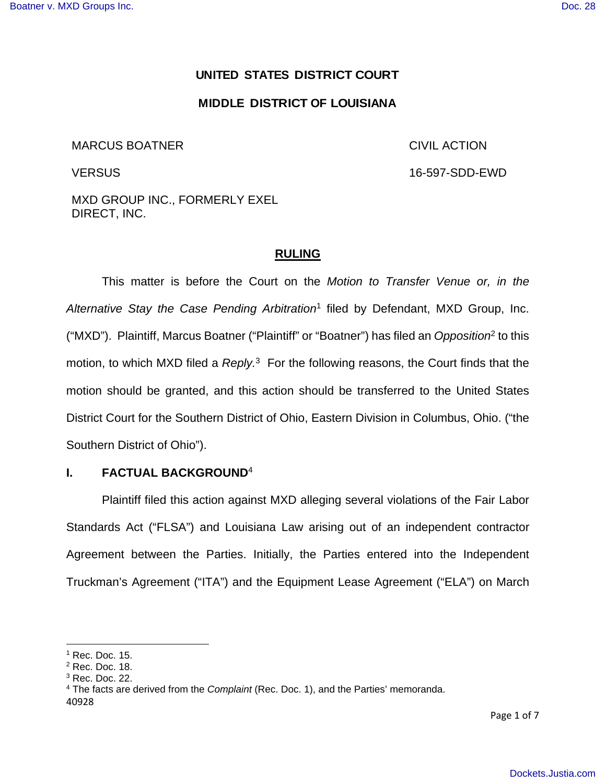## **UNITED STATES DISTRICT COURT**

### **MIDDLE DISTRICT OF LOUISIANA**

#### MARCUS BOATNER

CIVIL ACTION

**VERSUS** 

16-597-SDD-EWD

MXD GROUP INC., FORMERLY EXEL DIRECT, INC.

#### **RULING**

This matter is before the Court on the Motion to Transfer Venue or, in the Alternative Stay the Case Pending Arbitration<sup>1</sup> filed by Defendant, MXD Group, Inc. ("MXD"). Plaintiff, Marcus Boatner ("Plaintiff" or "Boatner") has filed an Opposition<sup>2</sup> to this motion, to which MXD filed a  $Reply$ <sup>3</sup> For the following reasons, the Court finds that the motion should be granted, and this action should be transferred to the United States District Court for the Southern District of Ohio, Eastern Division in Columbus, Ohio. ("the Southern District of Ohio").

### **I. FACTUAL BACKGROUND**<sup>4</sup>

Plaintiff filed this action against MXD alleging several violations of the Fair Labor Standards Act ("FLSA") and Louisiana Law arising out of an independent contractor Agreement between the Parties. Initially, the Parties entered into the Independent Truckman's Agreement ("ITA") and the Equipment Lease Agreement ("ELA") on March

Page 1 of 7

 $<sup>1</sup>$  Rec. Doc. 15.</sup>

<sup>2</sup> Rec. Doc. 18.

 $3$  Rec. Doc. 22.

<sup>40928</sup> <sup>4</sup> The facts are derived from the *Complaint* (Rec. Doc. 1), and the Parties' memoranda.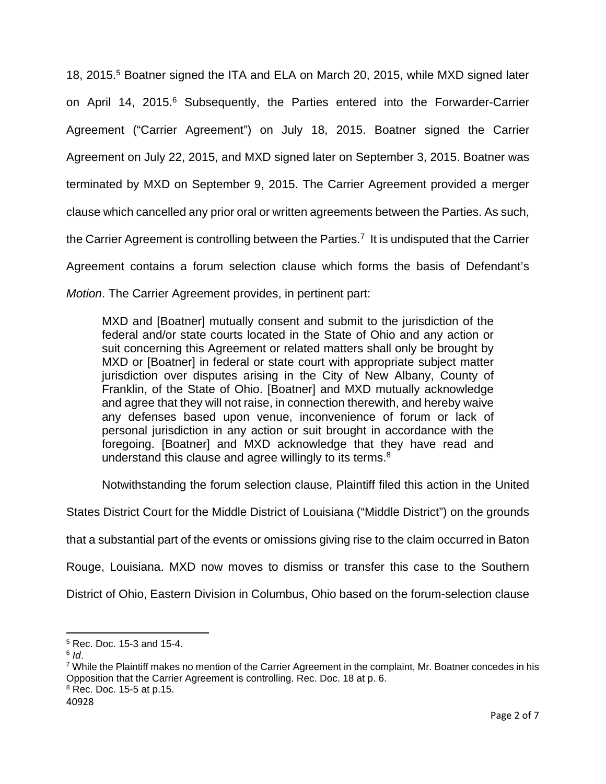18, 2015.<sup>5</sup> Boatner signed the ITA and ELA on March 20, 2015, while MXD signed later on April 14, 2015.<sup>6</sup> Subsequently, the Parties entered into the Forwarder-Carrier Agreement ("Carrier Agreement") on July 18, 2015. Boatner signed the Carrier Agreement on July 22, 2015, and MXD signed later on September 3, 2015. Boatner was terminated by MXD on September 9, 2015. The Carrier Agreement provided a merger clause which cancelled any prior oral or written agreements between the Parties. As such, the Carrier Agreement is controlling between the Parties.<sup>7</sup> It is undisputed that the Carrier Agreement contains a forum selection clause which forms the basis of Defendant's Motion. The Carrier Agreement provides, in pertinent part:

MXD and [Boatner] mutually consent and submit to the jurisdiction of the federal and/or state courts located in the State of Ohio and any action or suit concerning this Agreement or related matters shall only be brought by MXD or [Boatner] in federal or state court with appropriate subject matter jurisdiction over disputes arising in the City of New Albany, County of Franklin, of the State of Ohio. [Boatner] and MXD mutually acknowledge and agree that they will not raise, in connection therewith, and hereby waive any defenses based upon venue, inconvenience of forum or lack of personal jurisdiction in any action or suit brought in accordance with the foregoing. [Boatner] and MXD acknowledge that they have read and understand this clause and agree willingly to its terms.<sup>8</sup>

Notwithstanding the forum selection clause, Plaintiff filed this action in the United

States District Court for the Middle District of Louisiana ("Middle District") on the grounds

that a substantial part of the events or omissions giving rise to the claim occurred in Baton

Rouge, Louisiana. MXD now moves to dismiss or transfer this case to the Southern

District of Ohio, Eastern Division in Columbus, Ohio based on the forum-selection clause

7 While the Plaintiff makes no mention of the Carrier Agreement in the complaint, Mr. Boatner concedes in his Opposition that the Carrier Agreement is controlling. Rec. Doc. 18 at p. 6.  $8$  Rec. Doc. 15-5 at p.15.

 5 Rec. Doc. 15-3 and 15-4.

 $^6$  Id.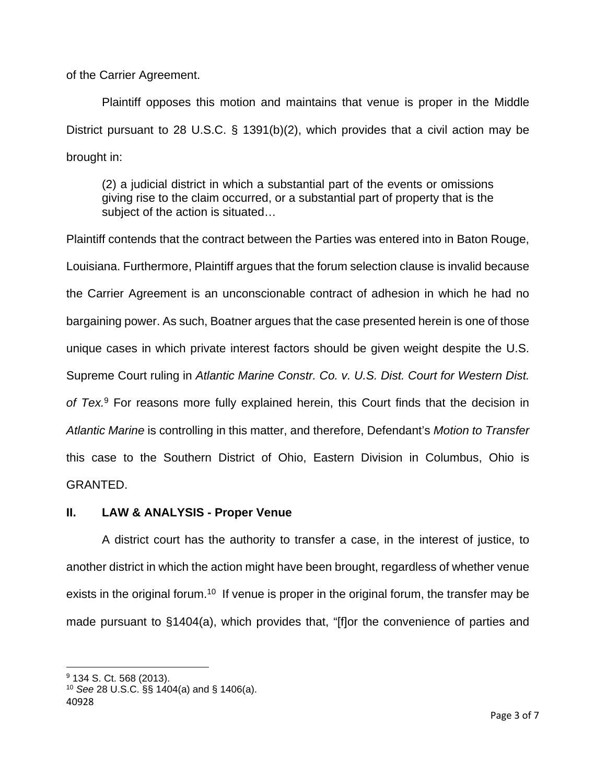of the Carrier Agreement.

Plaintiff opposes this motion and maintains that venue is proper in the Middle District pursuant to 28 U.S.C. § 1391(b)(2), which provides that a civil action may be brought in:

(2) a judicial district in which a substantial part of the events or omissions giving rise to the claim occurred, or a substantial part of property that is the subject of the action is situated…

Plaintiff contends that the contract between the Parties was entered into in Baton Rouge, Louisiana. Furthermore, Plaintiff argues that the forum selection clause is invalid because the Carrier Agreement is an unconscionable contract of adhesion in which he had no bargaining power. As such, Boatner argues that the case presented herein is one of those unique cases in which private interest factors should be given weight despite the U.S. Supreme Court ruling in Atlantic Marine Constr. Co. v. U.S. Dist. Court for Western Dist. of Tex.<sup>9</sup> For reasons more fully explained herein, this Court finds that the decision in Atlantic Marine is controlling in this matter, and therefore, Defendant's Motion to Transfer this case to the Southern District of Ohio, Eastern Division in Columbus, Ohio is GRANTED.

# **II. LAW & ANALYSIS - Proper Venue**

A district court has the authority to transfer a case, in the interest of justice, to another district in which the action might have been brought, regardless of whether venue exists in the original forum.<sup>10</sup> If venue is proper in the original forum, the transfer may be made pursuant to §1404(a), which provides that, "[f]or the convenience of parties and

<sup>&</sup>lt;sup>9</sup> 134 S. Ct. 568 (2013).

<sup>40928</sup>  $10$  See 28 U.S.C. §§ 1404(a) and § 1406(a).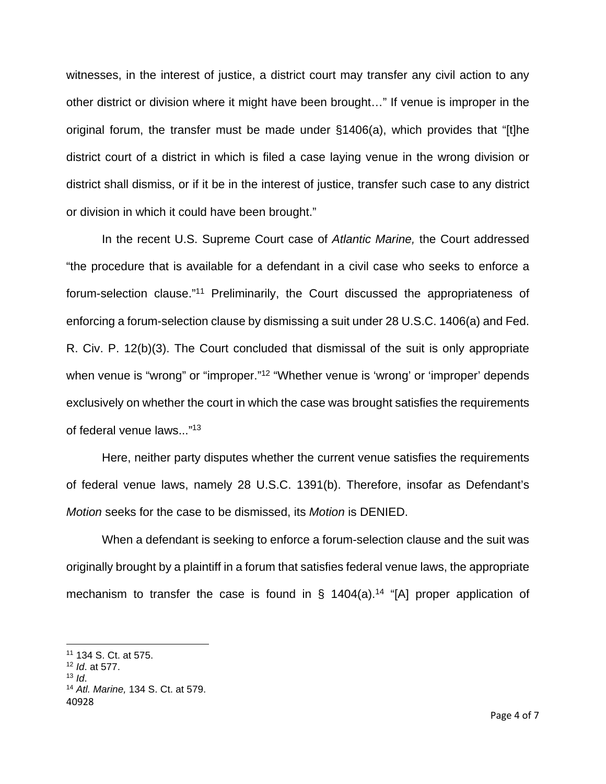witnesses, in the interest of justice, a district court may transfer any civil action to any other district or division where it might have been brought…" If venue is improper in the original forum, the transfer must be made under §1406(a), which provides that "[t]he district court of a district in which is filed a case laying venue in the wrong division or district shall dismiss, or if it be in the interest of justice, transfer such case to any district or division in which it could have been brought."

In the recent U.S. Supreme Court case of Atlantic Marine, the Court addressed "the procedure that is available for a defendant in a civil case who seeks to enforce a forum-selection clause."<sup>11</sup> Preliminarily, the Court discussed the appropriateness of enforcing a forum-selection clause by dismissing a suit under 28 U.S.C. 1406(a) and Fed. R. Civ. P. 12(b)(3). The Court concluded that dismissal of the suit is only appropriate when venue is "wrong" or "improper."<sup>12</sup> "Whether venue is 'wrong' or 'improper' depends exclusively on whether the court in which the case was brought satisfies the requirements of federal venue laws..."<sup>13</sup>

Here, neither party disputes whether the current venue satisfies the requirements of federal venue laws, namely 28 U.S.C. 1391(b). Therefore, insofar as Defendant's Motion seeks for the case to be dismissed, its Motion is DENIED.

When a defendant is seeking to enforce a forum-selection clause and the suit was originally brought by a plaintiff in a forum that satisfies federal venue laws, the appropriate mechanism to transfer the case is found in § 1404(a).<sup>14</sup> "[A] proper application of

<sup>11</sup> 134 S. Ct. at 575.

<sup>12</sup> Id. at 577.

<sup>13</sup>  $\mathsf{Id}$ 

<sup>40928</sup> <sup>14</sup> Atl. Marine, 134 S. Ct. at 579.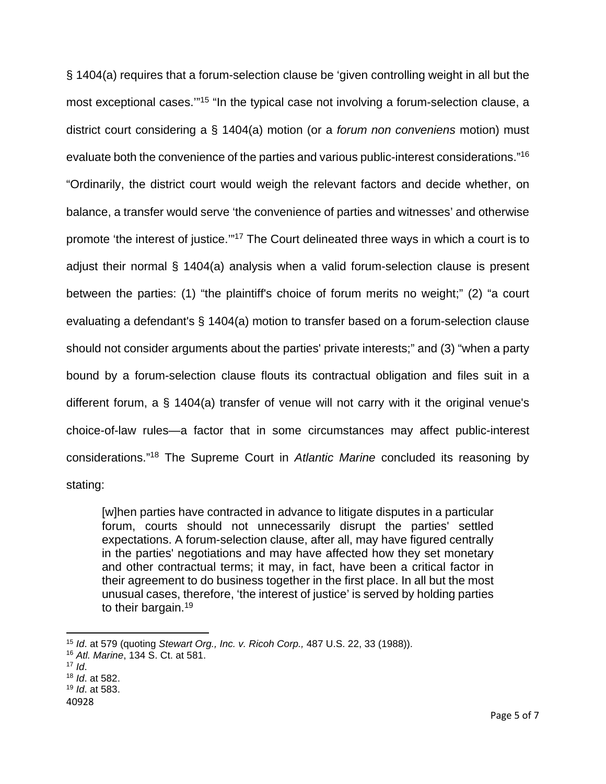§ 1404(a) requires that a forum-selection clause be 'given controlling weight in all but the most exceptional cases."<sup>15</sup> "In the typical case not involving a forum-selection clause, a district court considering a § 1404(a) motion (or a forum non conveniens motion) must evaluate both the convenience of the parties and various public-interest considerations."<sup>16</sup> "Ordinarily, the district court would weigh the relevant factors and decide whether, on balance, a transfer would serve 'the convenience of parties and witnesses' and otherwise promote 'the interest of justice.'"<sup>17</sup> The Court delineated three ways in which a court is to adjust their normal § 1404(a) analysis when a valid forum-selection clause is present between the parties: (1) "the plaintiff's choice of forum merits no weight;" (2) "a court evaluating a defendant's § 1404(a) motion to transfer based on a forum-selection clause should not consider arguments about the parties' private interests;" and (3) "when a party bound by a forum-selection clause flouts its contractual obligation and files suit in a different forum, a § 1404(a) transfer of venue will not carry with it the original venue's choice-of-law rules—a factor that in some circumstances may affect public-interest considerations."<sup>18</sup> The Supreme Court in Atlantic Marine concluded its reasoning by stating:

[w]hen parties have contracted in advance to litigate disputes in a particular forum, courts should not unnecessarily disrupt the parties' settled expectations. A forum-selection clause, after all, may have figured centrally in the parties' negotiations and may have affected how they set monetary and other contractual terms; it may, in fact, have been a critical factor in their agreement to do business together in the first place. In all but the most unusual cases, therefore, 'the interest of justice' is served by holding parties to their bargain.<sup>19</sup>

 $15$  Id. at 579 (quoting Stewart Org., Inc. v. Ricoh Corp., 487 U.S. 22, 33 (1988)).

<sup>16</sup> Atl. Marine, 134 S. Ct. at 581.

 $17$  *Id.* 

<sup>18</sup> Id. at 582.

 $19$  *Id.* at 583.

<sup>40928</sup>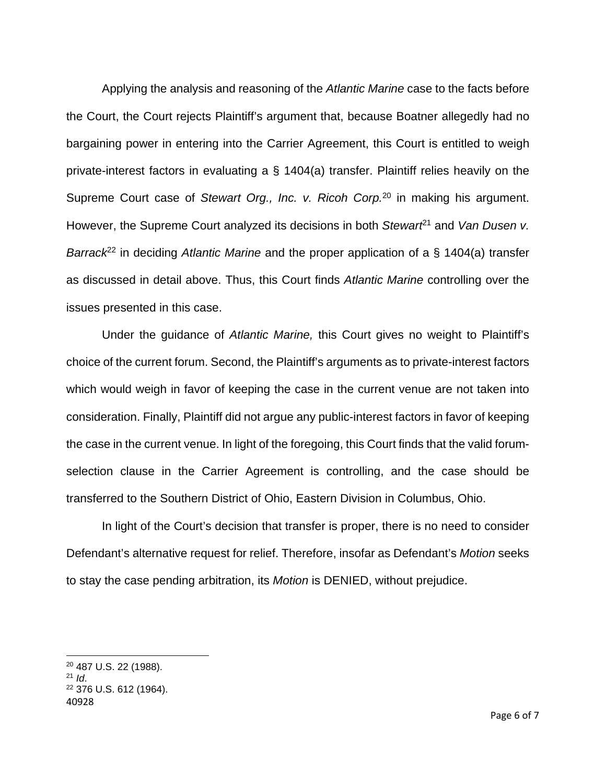Applying the analysis and reasoning of the Atlantic Marine case to the facts before the Court, the Court rejects Plaintiff's argument that, because Boatner allegedly had no bargaining power in entering into the Carrier Agreement, this Court is entitled to weigh private-interest factors in evaluating a § 1404(a) transfer. Plaintiff relies heavily on the Supreme Court case of Stewart Org., Inc. v. Ricoh Corp.<sup>20</sup> in making his argument. However, the Supreme Court analyzed its decisions in both Stewar $t^{21}$  and Van Dusen v. Barrack<sup>22</sup> in deciding Atlantic Marine and the proper application of a § 1404(a) transfer as discussed in detail above. Thus, this Court finds Atlantic Marine controlling over the issues presented in this case.

Under the guidance of Atlantic Marine, this Court gives no weight to Plaintiff's choice of the current forum. Second, the Plaintiff's arguments as to private-interest factors which would weigh in favor of keeping the case in the current venue are not taken into consideration. Finally, Plaintiff did not argue any public-interest factors in favor of keeping the case in the current venue. In light of the foregoing, this Court finds that the valid forumselection clause in the Carrier Agreement is controlling, and the case should be transferred to the Southern District of Ohio, Eastern Division in Columbus, Ohio.

In light of the Court's decision that transfer is proper, there is no need to consider Defendant's alternative request for relief. Therefore, insofar as Defendant's Motion seeks to stay the case pending arbitration, its Motion is DENIED, without prejudice.

<sup>20</sup> 487 U.S. 22 (1988).

 $21$  *Id.* 

<sup>40928</sup> <sup>22</sup> 376 U.S. 612 (1964).